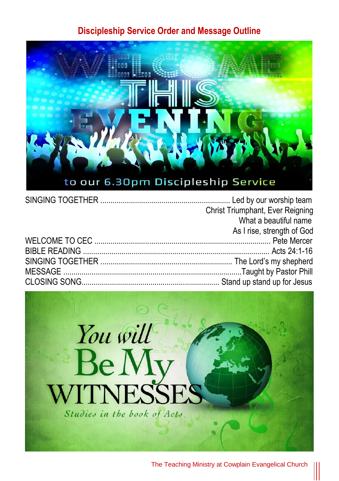#### **Discipleship Service Order and Message Outline**



|  | Christ Triumphant, Ever Reigning |
|--|----------------------------------|
|  | What a beautiful name            |
|  | As I rise, strength of God       |
|  |                                  |
|  |                                  |
|  |                                  |
|  |                                  |
|  |                                  |

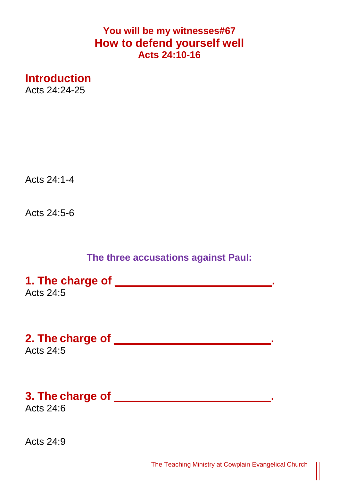### **You will be my witnesses#67 How to defend yourself well Acts 24:10-16**

**Introduction** Acts 24:24-25

Acts 24:1-4

Acts 24:5-6

### **The three accusations against Paul:**

**1. The charge of \_\_\_\_\_\_\_\_\_\_\_\_\_\_\_\_\_\_\_\_\_\_\_\_\_.**  Acts 24:5

**2. The charge of \_\_\_\_\_\_\_\_\_\_\_\_\_\_\_\_\_\_\_\_\_\_\_\_\_.**  Acts  $24.5$ 

# **3. The charge of \_\_\_\_\_\_\_\_\_\_\_\_\_\_\_\_\_\_\_\_\_\_\_\_\_.**

Acts 24:6

Acts 24:9

 $\begin{matrix} \vspace{0.1cm} \vspace{0.1cm} \vspace{0.1cm} \vspace{0.1cm} \vspace{0.1cm} \vspace{0.1cm} \vspace{0.1cm} \vspace{0.1cm} \vspace{0.1cm} \vspace{0.1cm} \vspace{0.1cm} \vspace{0.1cm} \vspace{0.1cm} \vspace{0.1cm} \vspace{0.1cm} \vspace{0.1cm} \vspace{0.1cm} \vspace{0.1cm} \vspace{0.1cm} \vspace{0.1cm} \vspace{0.1cm} \vspace{0.1cm} \vspace{0.1cm} \vspace{0.1cm$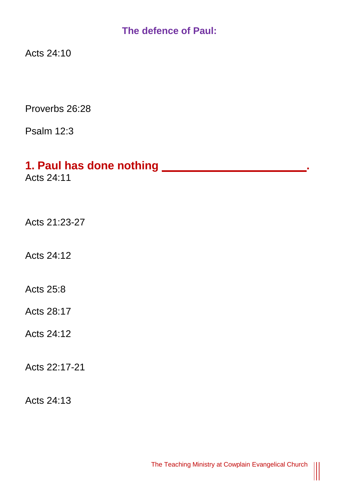### **The defence of Paul:**

Acts 24:10

Proverbs 26:28

Psalm 12:3

# **1. Paul has done nothing \_\_\_\_\_\_\_\_\_\_\_\_\_\_\_\_\_\_\_\_\_\_\_.**

Acts 24:11

Acts 21:23-27

Acts 24:12

Acts 25:8

Acts 28:17

Acts 24:12

Acts 22:17-21

Acts 24:13